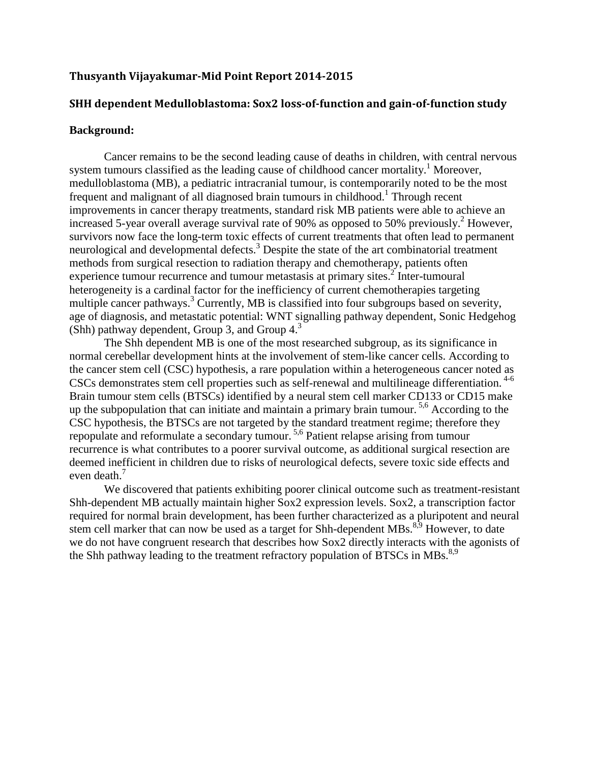# **Thusyanth Vijayakumar-Mid Point Report 2014-2015**

## **SHH dependent Medulloblastoma: Sox2 loss-of-function and gain-of-function study**

#### **Background:**

Cancer remains to be the second leading cause of deaths in children, with central nervous system tumours classified as the leading cause of childhood cancer mortality.<sup>1</sup> Moreover, medulloblastoma (MB), a pediatric intracranial tumour, is contemporarily noted to be the most frequent and malignant of all diagnosed brain tumours in childhood.<sup>1</sup> Through recent improvements in cancer therapy treatments, standard risk MB patients were able to achieve an increased 5-year overall average survival rate of 90% as opposed to 50% previously.<sup>2</sup> However, survivors now face the long-term toxic effects of current treatments that often lead to permanent neurological and developmental defects.<sup>3</sup> Despite the state of the art combinatorial treatment methods from surgical resection to radiation therapy and chemotherapy, patients often experience tumour recurrence and tumour metastasis at primary sites.<sup>2</sup> Inter-tumoural heterogeneity is a cardinal factor for the inefficiency of current chemotherapies targeting multiple cancer pathways.<sup>3</sup> Currently, MB is classified into four subgroups based on severity, age of diagnosis, and metastatic potential: WNT signalling pathway dependent, Sonic Hedgehog (Shh) pathway dependent, Group 3, and Group  $4<sup>3</sup>$ .

The Shh dependent MB is one of the most researched subgroup, as its significance in normal cerebellar development hints at the involvement of stem-like cancer cells. According to the cancer stem cell (CSC) hypothesis, a rare population within a heterogeneous cancer noted as CSCs demonstrates stem cell properties such as self-renewal and multilineage differentiation.<sup>4-6</sup> Brain tumour stem cells (BTSCs) identified by a neural stem cell marker CD133 or CD15 make up the subpopulation that can initiate and maintain a primary brain tumour. 5,6 According to the CSC hypothesis, the BTSCs are not targeted by the standard treatment regime; therefore they repopulate and reformulate a secondary tumour. 5,6 Patient relapse arising from tumour recurrence is what contributes to a poorer survival outcome, as additional surgical resection are deemed inefficient in children due to risks of neurological defects, severe toxic side effects and even death.<sup>7</sup>

We discovered that patients exhibiting poorer clinical outcome such as treatment-resistant Shh-dependent MB actually maintain higher Sox2 expression levels. Sox2, a transcription factor required for normal brain development, has been further characterized as a pluripotent and neural stem cell marker that can now be used as a target for Shh-dependent MBs. $8,99$  However, to date we do not have congruent research that describes how Sox2 directly interacts with the agonists of the Shh pathway leading to the treatment refractory population of BTSCs in MBs.<sup>8,9</sup>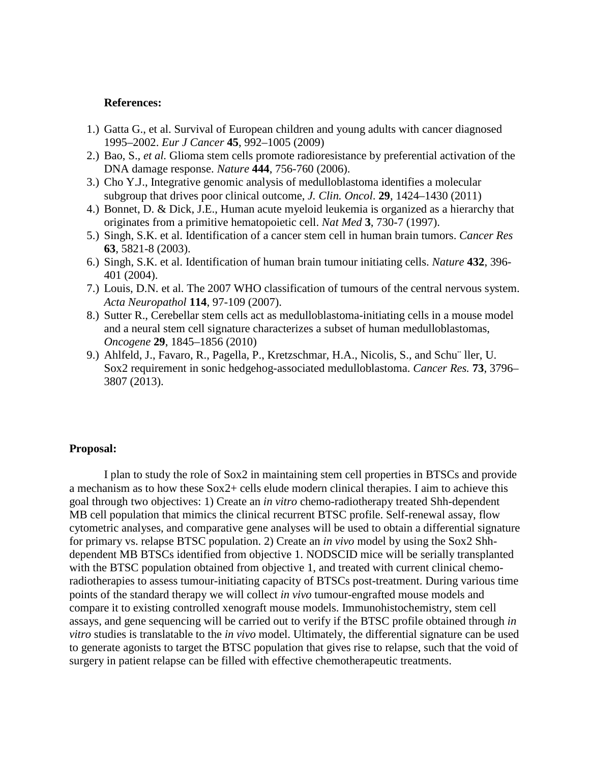### **References:**

- 1.) Gatta G., et al. Survival of European children and young adults with cancer diagnosed 1995–2002. *Eur J Cancer* **45**, 992–1005 (2009)
- 2.) Bao, S.*, et al.* Glioma stem cells promote radioresistance by preferential activation of the DNA damage response. *Nature* **444**, 756-760 (2006).
- 3.) Cho Y.J., Integrative genomic analysis of medulloblastoma identifies a molecular subgroup that drives poor clinical outcome, *J. Clin. Oncol*. **29**, 1424–1430 (2011)
- 4.) Bonnet, D. & Dick, J.E., Human acute myeloid leukemia is organized as a hierarchy that originates from a primitive hematopoietic cell. *Nat Med* **3**, 730-7 (1997).
- 5.) Singh, S.K. et al. Identification of a cancer stem cell in human brain tumors. *Cancer Res* **63**, 5821-8 (2003).
- 6.) Singh, S.K. et al. Identification of human brain tumour initiating cells. *Nature* **432**, 396- 401 (2004).
- 7.) Louis, D.N. et al. The 2007 WHO classification of tumours of the central nervous system. *Acta Neuropathol* **114**, 97-109 (2007).
- 8.) Sutter R., Cerebellar stem cells act as medulloblastoma-initiating cells in a mouse model and a neural stem cell signature characterizes a subset of human medulloblastomas, *Oncogene* **29**, 1845–1856 (2010)
- 9.) Ahlfeld, J., Favaro, R., Pagella, P., Kretzschmar, H.A., Nicolis, S., and Schu¨ ller, U. Sox2 requirement in sonic hedgehog-associated medulloblastoma. *Cancer Res.* **73**, 3796– 3807 (2013).

#### **Proposal:**

I plan to study the role of Sox2 in maintaining stem cell properties in BTSCs and provide a mechanism as to how these Sox2+ cells elude modern clinical therapies. I aim to achieve this goal through two objectives: 1) Create an *in vitro* chemo-radiotherapy treated Shh-dependent MB cell population that mimics the clinical recurrent BTSC profile. Self-renewal assay, flow cytometric analyses, and comparative gene analyses will be used to obtain a differential signature for primary vs. relapse BTSC population. 2) Create an *in vivo* model by using the Sox2 Shhdependent MB BTSCs identified from objective 1. NODSCID mice will be serially transplanted with the BTSC population obtained from objective 1, and treated with current clinical chemoradiotherapies to assess tumour-initiating capacity of BTSCs post-treatment. During various time points of the standard therapy we will collect *in vivo* tumour-engrafted mouse models and compare it to existing controlled xenograft mouse models. Immunohistochemistry, stem cell assays, and gene sequencing will be carried out to verify if the BTSC profile obtained through *in vitro* studies is translatable to the *in vivo* model. Ultimately, the differential signature can be used to generate agonists to target the BTSC population that gives rise to relapse, such that the void of surgery in patient relapse can be filled with effective chemotherapeutic treatments.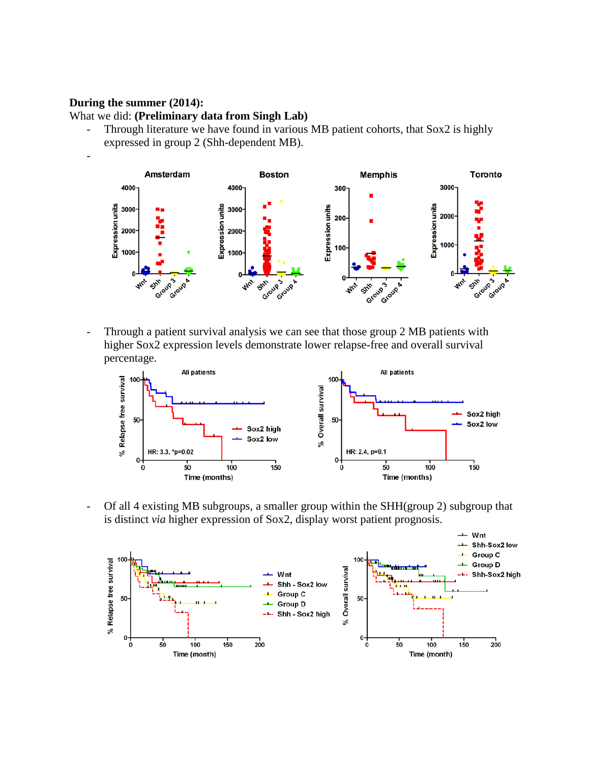## **During the summer (2014):**

What we did: **(Preliminary data from Singh Lab)**

- Through literature we have found in various MB patient cohorts, that Sox2 is highly expressed in group 2 (Shh-dependent MB).





- Through a patient survival analysis we can see that those group 2 MB patients with higher Sox2 expression levels demonstrate lower relapse-free and overall survival percentage.



- Of all 4 existing MB subgroups, a smaller group within the SHH(group 2) subgroup that is distinct *via* higher expression of Sox2, display worst patient prognosis.

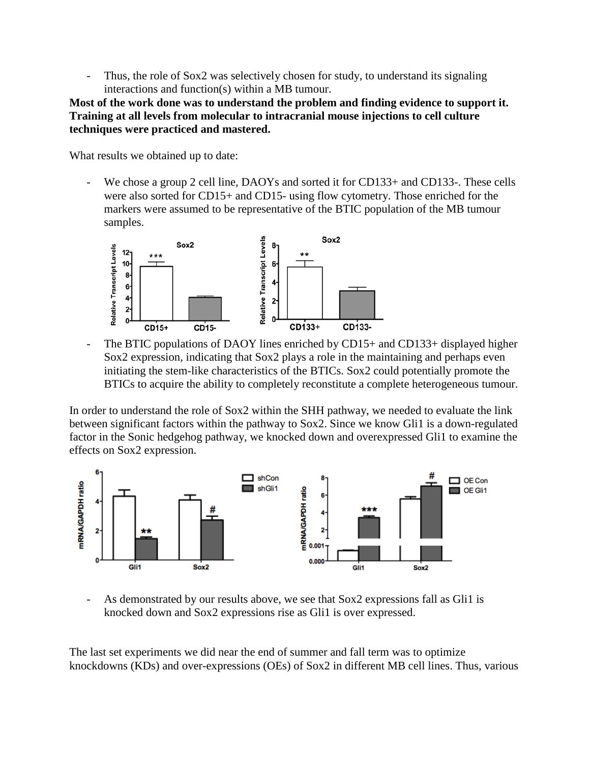Thus, the role of Sox2 was selectively chosen for study, to understand its signaling interactions and function(s) within a MB tumour.

**Most of the work done was to understand the problem and finding evidence to support it. Training at all levels from molecular to intracranial mouse injections to cell culture techniques were practiced and mastered.**

What results we obtained up to date:

We chose a group 2 cell line, DAOYs and sorted it for CD133+ and CD133-. These cells were also sorted for CD15+ and CD15- using flow cytometry. Those enriched for the markers were assumed to be representative of the BTIC population of the MB tumour samples.



The BTIC populations of DAOY lines enriched by CD15+ and CD133+ displayed higher Sox2 expression, indicating that Sox2 plays a role in the maintaining and perhaps even initiating the stem-like characteristics of the BTICs. Sox2 could potentially promote the BTICs to acquire the ability to completely reconstitute a complete heterogeneous tumour.

In order to understand the role of Sox2 within the SHH pathway, we needed to evaluate the link between significant factors within the pathway to Sox2. Since we know Gli1 is a down-regulated factor in the Sonic hedgehog pathway, we knocked down and overexpressed Gli1 to examine the effects on Sox2 expression.



As demonstrated by our results above, we see that Sox2 expressions fall as Gli1 is knocked down and Sox2 expressions rise as Gli1 is over expressed.

The last set experiments we did near the end of summer and fall term was to optimize knockdowns (KDs) and over-expressions (OEs) of Sox2 in different MB cell lines. Thus, various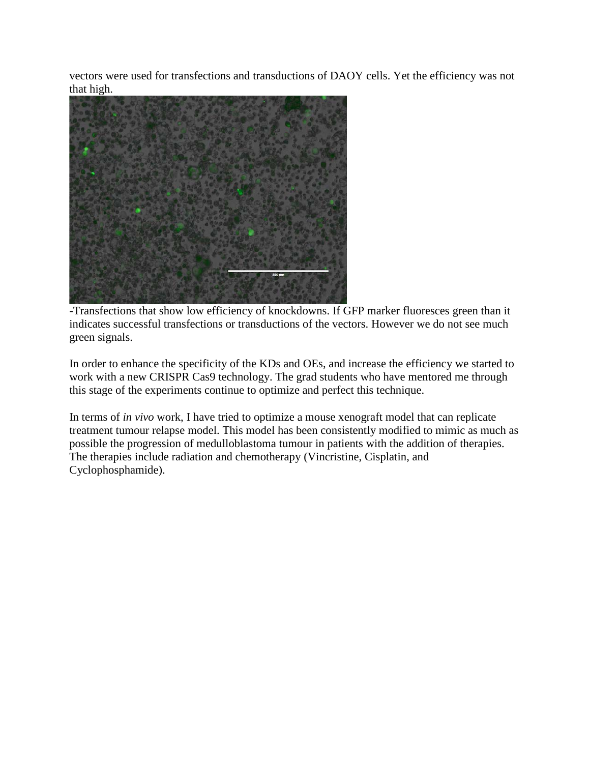vectors were used for transfections and transductions of DAOY cells. Yet the efficiency was not that high.



-Transfections that show low efficiency of knockdowns. If GFP marker fluoresces green than it indicates successful transfections or transductions of the vectors. However we do not see much green signals.

In order to enhance the specificity of the KDs and OEs, and increase the efficiency we started to work with a new CRISPR Cas9 technology. The grad students who have mentored me through this stage of the experiments continue to optimize and perfect this technique.

In terms of *in vivo* work, I have tried to optimize a mouse xenograft model that can replicate treatment tumour relapse model. This model has been consistently modified to mimic as much as possible the progression of medulloblastoma tumour in patients with the addition of therapies. The therapies include radiation and chemotherapy (Vincristine, Cisplatin, and Cyclophosphamide).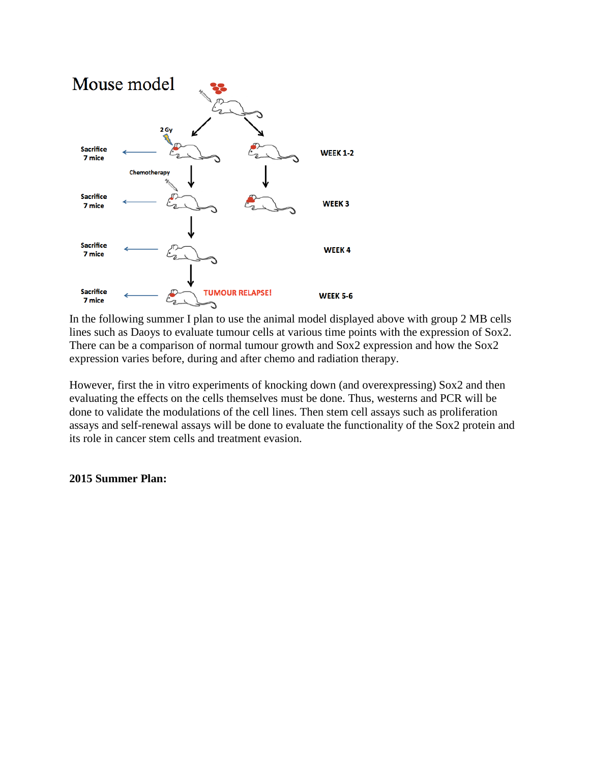

In the following summer I plan to use the animal model displayed above with group 2 MB cells lines such as Daoys to evaluate tumour cells at various time points with the expression of Sox2. There can be a comparison of normal tumour growth and Sox2 expression and how the Sox2 expression varies before, during and after chemo and radiation therapy.

However, first the in vitro experiments of knocking down (and overexpressing) Sox2 and then evaluating the effects on the cells themselves must be done. Thus, westerns and PCR will be done to validate the modulations of the cell lines. Then stem cell assays such as proliferation assays and self-renewal assays will be done to evaluate the functionality of the Sox2 protein and its role in cancer stem cells and treatment evasion.

### **2015 Summer Plan:**